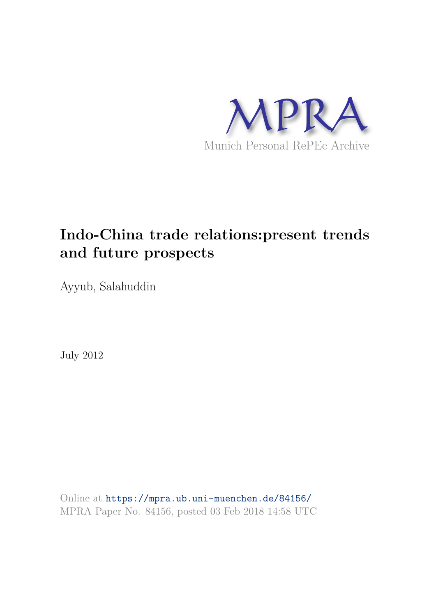

# **Indo-China trade relations:present trends and future prospects**

Ayyub, Salahuddin

July 2012

Online at https://mpra.ub.uni-muenchen.de/84156/ MPRA Paper No. 84156, posted 03 Feb 2018 14:58 UTC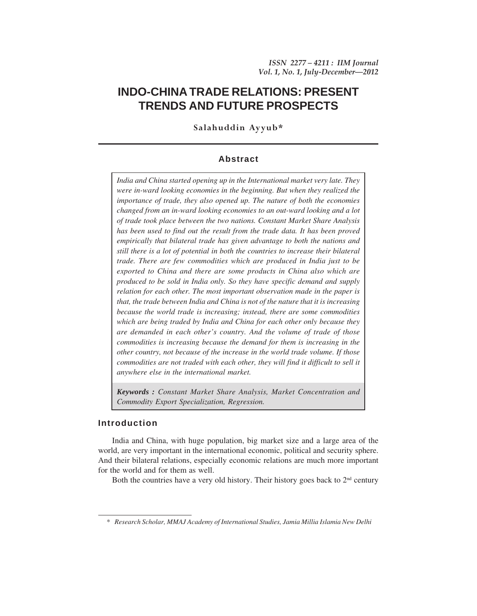# **INDO-CHINA TRADE RELATIONS: PRESENT TRENDS AND FUTURE PROSPECTS**

**Salahuddin Ayyub\***

# **Abstract**

*India and China started opening up in the International market very late. They were in-ward looking economies in the beginning. But when they realized the importance of trade, they also opened up. The nature of both the economies changed from an in-ward looking economies to an out-ward looking and a lot of trade took place between the two nations. Constant Market Share Analysis has been used to find out the result from the trade data. It has been proved empirically that bilateral trade has given advantage to both the nations and still there is a lot of potential in both the countries to increase their bilateral trade. There are few commodities which are produced in India just to be exported to China and there are some products in China also which are produced to be sold in India only. So they have specific demand and supply relation for each other. The most important observation made in the paper is that, the trade between India and China is not of the nature that it is increasing because the world trade is increasing; instead, there are some commodities which are being traded by India and China for each other only because they are demanded in each other's country. And the volume of trade of those commodities is increasing because the demand for them is increasing in the other country, not because of the increase in the world trade volume. If those commodities are not traded with each other, they will find it difficult to sell it anywhere else in the international market.*

*Keywords : Constant Market Share Analysis, Market Concentration and Commodity Export Specialization, Regression.*

## **Introduction**

India and China, with huge population, big market size and a large area of the world, are very important in the international economic, political and security sphere. And their bilateral relations, especially economic relations are much more important for the world and for them as well.

Both the countries have a very old history. Their history goes back to  $2<sup>nd</sup>$  century

*<sup>\*</sup> Research Scholar, MMAJ Academy of International Studies, Jamia Millia Islamia New Delhi*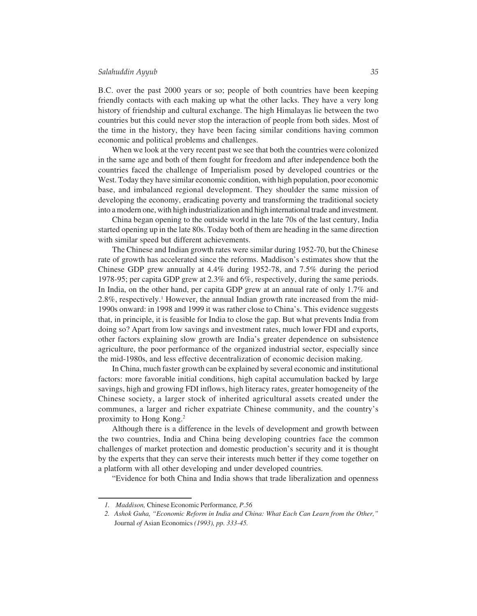B.C. over the past 2000 years or so; people of both countries have been keeping friendly contacts with each making up what the other lacks. They have a very long history of friendship and cultural exchange. The high Himalayas lie between the two countries but this could never stop the interaction of people from both sides. Most of the time in the history, they have been facing similar conditions having common economic and political problems and challenges.

When we look at the very recent past we see that both the countries were colonized in the same age and both of them fought for freedom and after independence both the countries faced the challenge of Imperialism posed by developed countries or the West. Today they have similar economic condition, with high population, poor economic base, and imbalanced regional development. They shoulder the same mission of developing the economy, eradicating poverty and transforming the traditional society into a modern one, with high industrialization and high international trade and investment.

China began opening to the outside world in the late 70s of the last century, India started opening up in the late 80s. Today both of them are heading in the same direction with similar speed but different achievements.

The Chinese and Indian growth rates were similar during 1952-70, but the Chinese rate of growth has accelerated since the reforms. Maddison's estimates show that the Chinese GDP grew annually at 4.4% during 1952-78, and 7.5% during the period 1978-95; per capita GDP grew at 2.3% and 6%, respectively, during the same periods. In India, on the other hand, per capita GDP grew at an annual rate of only 1.7% and 2.8%, respectively.<sup>1</sup> However, the annual Indian growth rate increased from the mid-1990s onward: in 1998 and 1999 it was rather close to China's. This evidence suggests that, in principle, it is feasible for India to close the gap. But what prevents India from doing so? Apart from low savings and investment rates, much lower FDI and exports, other factors explaining slow growth are India's greater dependence on subsistence agriculture, the poor performance of the organized industrial sector, especially since the mid-1980s, and less effective decentralization of economic decision making.

In China, much faster growth can be explained by several economic and institutional factors: more favorable initial conditions, high capital accumulation backed by large savings, high and growing FDI inflows, high literacy rates, greater homogeneity of the Chinese society, a larger stock of inherited agricultural assets created under the communes, a larger and richer expatriate Chinese community, and the country's proximity to Hong Kong.<sup>2</sup>

Although there is a difference in the levels of development and growth between the two countries, India and China being developing countries face the common challenges of market protection and domestic production's security and it is thought by the experts that they can serve their interests much better if they come together on a platform with all other developing and under developed countries.

"Evidence for both China and India shows that trade liberalization and openness

*<sup>1.</sup> Maddison,* Chinese Economic Performance*, P.56*

*<sup>2.</sup> Ashok Guha, "Economic Reform in India and China: What Each Can Learn from the Other,"* Journal *of* Asian Economics *(1993), pp. 333-45.*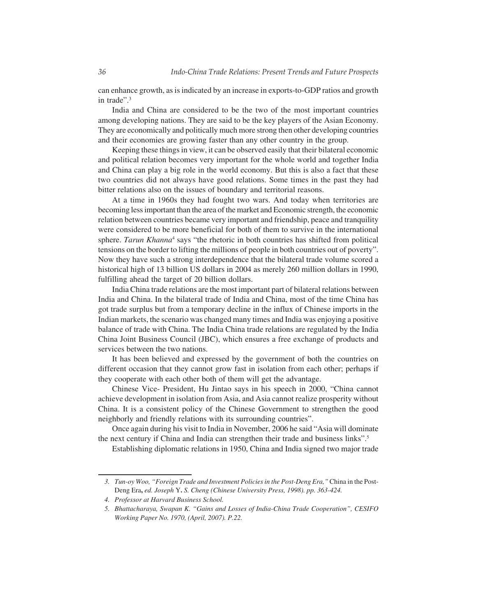can enhance growth, as is indicated by an increase in exports-to-GDP ratios and growth in trade".<sup>3</sup>

India and China are considered to be the two of the most important countries among developing nations. They are said to be the key players of the Asian Economy. They are economically and politically much more strong then other developing countries and their economies are growing faster than any other country in the group.

Keeping these things in view, it can be observed easily that their bilateral economic and political relation becomes very important for the whole world and together India and China can play a big role in the world economy. But this is also a fact that these two countries did not always have good relations. Some times in the past they had bitter relations also on the issues of boundary and territorial reasons.

At a time in 1960s they had fought two wars. And today when territories are becoming less important than the area of the market and Economic strength, the economic relation between countries became very important and friendship, peace and tranquility were considered to be more beneficial for both of them to survive in the international sphere. *Tarun Khanna*<sup>4</sup> says "the rhetoric in both countries has shifted from political tensions on the border to lifting the millions of people in both countries out of poverty". Now they have such a strong interdependence that the bilateral trade volume scored a historical high of 13 billion US dollars in 2004 as merely 260 million dollars in 1990, fulfilling ahead the target of 20 billion dollars.

India China trade relations are the most important part of bilateral relations between India and China. In the bilateral trade of India and China, most of the time China has got trade surplus but from a temporary decline in the influx of Chinese imports in the Indian markets, the scenario was changed many times and India was enjoying a positive balance of trade with China. The India China trade relations are regulated by the India China Joint Business Council (JBC), which ensures a free exchange of products and services between the two nations.

It has been believed and expressed by the government of both the countries on different occasion that they cannot grow fast in isolation from each other; perhaps if they cooperate with each other both of them will get the advantage.

Chinese Vice- President, Hu Jintao says in his speech in 2000, "China cannot achieve development in isolation from Asia, and Asia cannot realize prosperity without China. It is a consistent policy of the Chinese Government to strengthen the good neighborly and friendly relations with its surrounding countries".

Once again during his visit to India in November, 2006 he said "Asia will dominate the next century if China and India can strengthen their trade and business links".<sup>5</sup>

Establishing diplomatic relations in 1950, China and India signed two major trade

*<sup>3.</sup> Tun-oy Woo, "Foreign Trade and Investment Policies in the Post-Deng Era,"* China in the Post-Deng Era**,** *ed. Joseph* Y**.** *S. Cheng (Chinese University Press, 1998). pp. 363-424.*

*<sup>4.</sup> Professor at Harvard Business School.*

*<sup>5.</sup> Bhattacharaya, Swapan K. "Gains and Losses of India-China Trade Cooperation", CESIFO Working Paper No. 1970, (April, 2007). P.22.*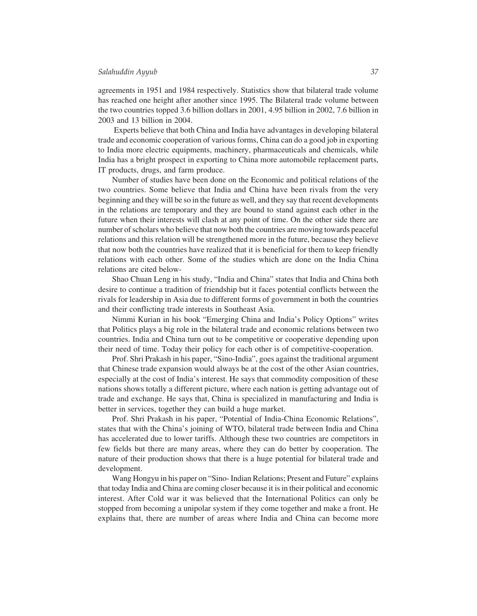agreements in 1951 and 1984 respectively. Statistics show that bilateral trade volume has reached one height after another since 1995. The Bilateral trade volume between the two countries topped 3.6 billion dollars in 2001, 4.95 billion in 2002, 7.6 billion in 2003 and 13 billion in 2004.

 Experts believe that both China and India have advantages in developing bilateral trade and economic cooperation of various forms, China can do a good job in exporting to India more electric equipments, machinery, pharmaceuticals and chemicals, while India has a bright prospect in exporting to China more automobile replacement parts, IT products, drugs, and farm produce.

Number of studies have been done on the Economic and political relations of the two countries. Some believe that India and China have been rivals from the very beginning and they will be so in the future as well, and they say that recent developments in the relations are temporary and they are bound to stand against each other in the future when their interests will clash at any point of time. On the other side there are number of scholars who believe that now both the countries are moving towards peaceful relations and this relation will be strengthened more in the future, because they believe that now both the countries have realized that it is beneficial for them to keep friendly relations with each other. Some of the studies which are done on the India China relations are cited below-

Shao Chuan Leng in his study, "India and China" states that India and China both desire to continue a tradition of friendship but it faces potential conflicts between the rivals for leadership in Asia due to different forms of government in both the countries and their conflicting trade interests in Southeast Asia.

Nimmi Kurian in his book "Emerging China and India's Policy Options" writes that Politics plays a big role in the bilateral trade and economic relations between two countries. India and China turn out to be competitive or cooperative depending upon their need of time. Today their policy for each other is of competitive-cooperation.

Prof. Shri Prakash in his paper, "Sino-India", goes against the traditional argument that Chinese trade expansion would always be at the cost of the other Asian countries, especially at the cost of India's interest. He says that commodity composition of these nations shows totally a different picture, where each nation is getting advantage out of trade and exchange. He says that, China is specialized in manufacturing and India is better in services, together they can build a huge market.

Prof. Shri Prakash in his paper, "Potential of India-China Economic Relations", states that with the China's joining of WTO, bilateral trade between India and China has accelerated due to lower tariffs. Although these two countries are competitors in few fields but there are many areas, where they can do better by cooperation. The nature of their production shows that there is a huge potential for bilateral trade and development.

Wang Hongyu in his paper on "Sino- Indian Relations; Present and Future" explains that today India and China are coming closer because it is in their political and economic interest. After Cold war it was believed that the International Politics can only be stopped from becoming a unipolar system if they come together and make a front. He explains that, there are number of areas where India and China can become more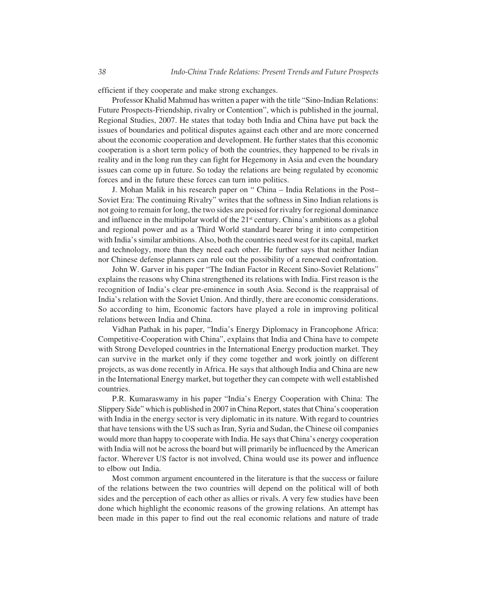efficient if they cooperate and make strong exchanges.

Professor Khalid Mahmud has written a paper with the title "Sino-Indian Relations: Future Prospects-Friendship, rivalry or Contention", which is published in the journal, Regional Studies, 2007. He states that today both India and China have put back the issues of boundaries and political disputes against each other and are more concerned about the economic cooperation and development. He further states that this economic cooperation is a short term policy of both the countries, they happened to be rivals in reality and in the long run they can fight for Hegemony in Asia and even the boundary issues can come up in future. So today the relations are being regulated by economic forces and in the future these forces can turn into politics.

J. Mohan Malik in his research paper on " China – India Relations in the Post– Soviet Era: The continuing Rivalry" writes that the softness in Sino Indian relations is not going to remain for long, the two sides are poised for rivalry for regional dominance and influence in the multipolar world of the  $21<sup>st</sup>$  century. China's ambitions as a global and regional power and as a Third World standard bearer bring it into competition with India's similar ambitions. Also, both the countries need west for its capital, market and technology, more than they need each other. He further says that neither Indian nor Chinese defense planners can rule out the possibility of a renewed confrontation.

John W. Garver in his paper "The Indian Factor in Recent Sino-Soviet Relations" explains the reasons why China strengthened its relations with India. First reason is the recognition of India's clear pre-eminence in south Asia. Second is the reappraisal of India's relation with the Soviet Union. And thirdly, there are economic considerations. So according to him, Economic factors have played a role in improving political relations between India and China.

Vidhan Pathak in his paper, "India's Energy Diplomacy in Francophone Africa: Competitive-Cooperation with China", explains that India and China have to compete with Strong Developed countries in the International Energy production market. They can survive in the market only if they come together and work jointly on different projects, as was done recently in Africa. He says that although India and China are new in the International Energy market, but together they can compete with well established countries.

P.R. Kumaraswamy in his paper "India's Energy Cooperation with China: The Slippery Side" which is published in 2007 in China Report, states that China's cooperation with India in the energy sector is very diplomatic in its nature. With regard to countries that have tensions with the US such as Iran, Syria and Sudan, the Chinese oil companies would more than happy to cooperate with India. He says that China's energy cooperation with India will not be across the board but will primarily be influenced by the American factor. Wherever US factor is not involved, China would use its power and influence to elbow out India.

Most common argument encountered in the literature is that the success or failure of the relations between the two countries will depend on the political will of both sides and the perception of each other as allies or rivals. A very few studies have been done which highlight the economic reasons of the growing relations. An attempt has been made in this paper to find out the real economic relations and nature of trade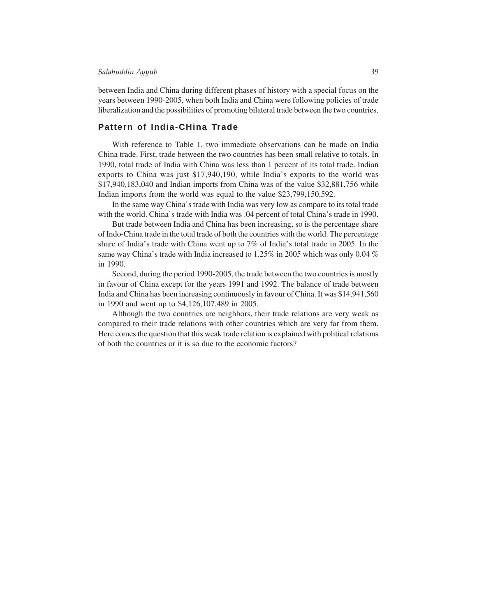between India and China during different phases of history with a special focus on the years between 1990-2005, when both India and China were following policies of trade liberalization and the possibilities of promoting bilateral trade between the two countries.

#### **Pattern of India-CHina Trade**

With reference to Table 1, two immediate observations can be made on India China trade. First, trade between the two countries has been small relative to totals. In 1990, total trade of India with China was less than 1 percent of its total trade. Indian exports to China was just \$17,940,190, while India's exports to the world was \$17,940,183,040 and Indian imports from China was of the value \$32,881,756 while Indian imports from the world was equal to the value \$23,799,150,592.

In the same way China's trade with India was very low as compare to its total trade with the world. China's trade with India was .04 percent of total China's trade in 1990.

But trade between India and China has been increasing, so is the percentage share of Indo-China trade in the total trade of both the countries with the world. The percentage share of India's trade with China went up to 7% of India's total trade in 2005. In the same way China's trade with India increased to 1.25% in 2005 which was only 0.04 % in 1990.

Second, during the period 1990-2005, the trade between the two countries is mostly in favour of China except for the years 1991 and 1992. The balance of trade between India and China has been increasing continuously in favour of China. It was \$14,941,560 in 1990 and went up to \$4,126,107,489 in 2005.

Although the two countries are neighbors, their trade relations are very weak as compared to their trade relations with other countries which are very far from them. Here comes the question that this weak trade relation is explained with political relations of both the countries or it is so due to the economic factors?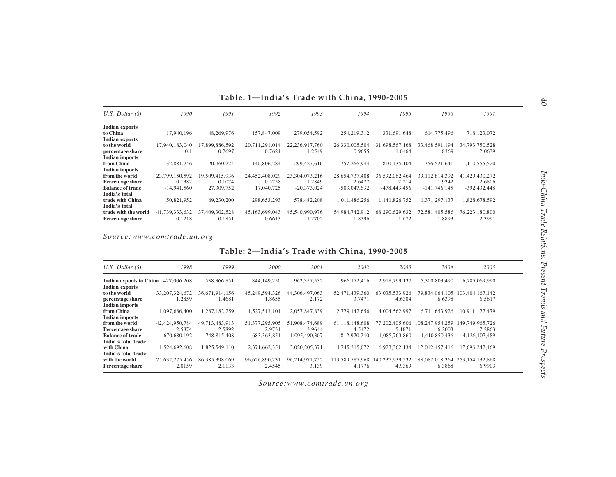| $U.S.$ Dollar $(\$)$    | 1990           | 1991           | 1992           | 1993           | 1994           | 1995             | 1996           | 1997           |  |
|-------------------------|----------------|----------------|----------------|----------------|----------------|------------------|----------------|----------------|--|
| <b>Indian exports</b>   |                |                |                |                |                |                  |                |                |  |
| to China                | 17.940.196     | 48.269.976     | 157,847,009    | 279,054,592    | 254,219,312    | 331,691,648      | 614,775,496    | 718,123,072    |  |
| <b>Indian exports</b>   |                |                |                |                |                |                  |                |                |  |
| to the world            | 17.940.183.040 | 17,899,886,592 | 20,711,291,014 | 22,236,917,760 | 26,330,005,504 | 31,698,567,168   | 33,468,591,194 | 34,793,750,528 |  |
| percentage share        | 0.1            | 0.2697         | 0.7621         | 1.2549         | 0.9655         | 1.0464           | .8369          | 2.0639         |  |
| <b>Indian imports</b>   |                |                |                |                |                |                  |                |                |  |
| from China              | 32,881,756     | 20,960,224     | 140,806,284    | 299,427,616    | 757,266,944    | 810,135,104      | 756,521,641    | 1,110,555,520  |  |
| <b>Indian imports</b>   |                |                |                |                |                |                  |                |                |  |
| from the world          | 23,799,150,592 | 19,509,415,936 | 24,452,408,029 | 23.304.073.216 | 28,654,737,408 | 36,592,062,464   | 39,112,814,392 | 41,429,430,272 |  |
| Percentage share        | 0.1382         | 0.1074         | 0.5758         | 1.2849         | 2.6427         | 2.214            | 1.9342         | 2.6806         |  |
| <b>Balance of trade</b> | $-14.941.560$  | 27,309,752     | 17,040,725     | $-20.373.024$  | $-503.047.632$ | $-478, 443, 456$ | $-141,746,145$ | $-392,432,448$ |  |
| India's total           |                |                |                |                |                |                  |                |                |  |
| trade with China        | 50,821,952     | 69,230,200     | 298,653,293    | 578,482,208    | 1,011,486,256  | 1,141,826,752    | 1,371,297,137  | 1,828,678,592  |  |
| India's total           |                |                |                |                |                |                  |                |                |  |
| trade with the world    | 41,739,333,632 | 37,409,302,528 | 45,163,699,043 | 45,540,990,976 | 54,984,742,912 | 68,290,629,632   | 72,581,405,586 | 76,223,180,800 |  |
| Percentage share        | 0.1218         | 0.1851         | 0.6613         | 1.2702         | 1.8396         | 1.672            | 1.8893         | 2.3991         |  |
|                         |                |                |                |                |                |                  |                |                |  |

*Source:www.comtrade.un.org*

# Table: 2-India's Trade with China, 1990-2005

| $U.S.$ Dollar $(S)$                                           | 1998                                       | 1999                                       | 2000                                       | 2001                                         | 2002                                       | 2003                                         | 2004                                          | 2005                                          |  |
|---------------------------------------------------------------|--------------------------------------------|--------------------------------------------|--------------------------------------------|----------------------------------------------|--------------------------------------------|----------------------------------------------|-----------------------------------------------|-----------------------------------------------|--|
| <b>Indian exports to China</b><br>Indian exports              | 427,006,208                                | 538,366,851                                | 844, 149, 250                              | 962, 357, 532                                | 1,966,172,416                              | 2.918.799.137                                | 5,300,803,490                                 | 6,785,069,990                                 |  |
| to the world<br>percentage share<br><b>Indian imports</b>     | 33.207.324.672<br>1.2859                   | 36.671.914.156<br>1.4681                   | 45.249.594.326<br>1.8655                   | 44, 306, 497, 063<br>2.172                   | 52,471,439,360<br>3.7471                   | 63.035.533.926<br>4.6304                     | 79.834.064.105<br>6.6398                      | 103,404,167,142<br>6.5617                     |  |
| from China<br><b>Indian imports</b>                           | 1.097.686.400                              | 1.287.182.259                              | 1,527,513,101                              | 2,057,847,839                                | 2,779,142,656                              | 4,004,562,997                                | 6,711,653,926                                 | 10.911.177.479                                |  |
| from the world<br>Percentage share<br><b>Balance of trade</b> | 42,424,950,784<br>2.5874<br>$-670.680.192$ | 49.713.483.913<br>2.5892<br>$-748.815.408$ | 51.377.295.905<br>2.9731<br>$-683.363.851$ | 51,908,474,689<br>3.9644<br>$-1.095,490,307$ | 61.118.148.608<br>4.5472<br>$-812,970,240$ | 77.202.405.606<br>5.1871<br>$-1.085,763,860$ | 108.247.954.259<br>6.2003<br>$-1.410.850.436$ | 149.749.965.726<br>7.2863<br>$-4,126,107,489$ |  |
| India's total trade<br>with China                             | 1.524.692.608                              | 1.825.549.110                              | 2,371,662,351                              | 3.020.205.371                                | 4,745,315,072                              | 6.923.362.134                                | 12.012.457.416                                | 17.696.247.469                                |  |
| India's total trade<br>with the world<br>Percentage share     | 75.632.275.456<br>2.0159                   | 86, 385, 398, 069<br>2.1133                | 96,626,890,231<br>2.4545                   | 96.214.971.752<br>3.139                      | 113.589.587.968<br>4.1776                  | 140.237.939.532<br>4.9369                    | 188,082,018,364<br>6.3868                     | 253.154.132.868<br>6.9903                     |  |

*Source:www.comtrade.un.org*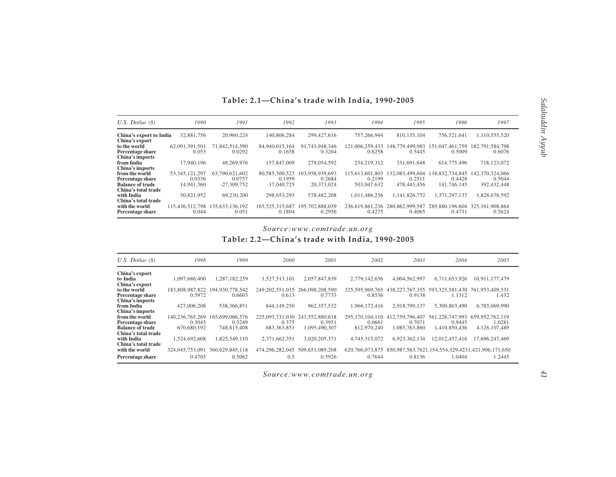| U.S. Dollar $(\$)$                        | 1990            | 1991            | 1992               | 1993            | 1994            | 1995            | 1996            | 1997               |
|-------------------------------------------|-----------------|-----------------|--------------------|-----------------|-----------------|-----------------|-----------------|--------------------|
| China's export to India<br>China's export | 32,881,756      | 20.960.224      | 140,806,284        | 299,427,616     | 757.266.944     | 810, 135, 104   | 756,521,641     | 1,110,555,520      |
| to the world                              | 62.091.391.501  | 71,842,514,590  | 84,940,015,164     | 91.743.948.346  | 121,006,259,433 | 148.779.499.983 | 151,047,461,759 | 182,791,584,798    |
| Percentage share                          | 0.053           | 0.0292          | 0.1658             | 0.3264          | 0.6258          | 0.5445          | 0.5009          | 0.6076             |
| China's imports                           |                 |                 |                    |                 |                 |                 |                 |                    |
| from India                                | 17.940.196      | 48.269.976      | 157,847,009        | 279.054.592     | 254,219,312     | 331.691.648     | 614,775,496     | 718,123,072        |
| China's imports                           |                 |                 |                    |                 |                 |                 |                 |                    |
| from the world                            | 53.345.121.297  | 63,790,621,602  | 80.585.300.523     | 103.958.939.693 | 115.613.601.803 | 132.083.499.604 | 138.832.734.845 | 142.370.324.066    |
| Percentage share                          | 0.0336          | 0.0757          | 0.1959             | 0.2684          | 0.2199          | 0.2511          | 0.4428          | 0.5044             |
| <b>Balance of trade</b>                   | 14.941.560      | $-27.309.752$   | $-17,040,725$      | 20.373,024      | 503,047,632     | 478,443,456     | 141,746,145     | 392.432.448        |
| China's total trade                       |                 |                 |                    |                 |                 |                 |                 |                    |
| with India                                | 50.821.952      | 69,230,200      | 298.653.293        | 578,482,208     | 1.011.486.256   | 1.141.826.752   | 1.371.297.137   | 1.828.678.592      |
| China's total trade                       |                 |                 |                    |                 |                 |                 |                 |                    |
| with the world                            | 115.436.512.798 | 135,633,136,192 | 165, 525, 315, 687 | 195,702,888,039 | 236.619.861.236 | 280.862.999.587 | 289,880,196,604 | 325, 161, 908, 864 |
| Percentage share                          | 0.044           | 0.051           | 0.1804             | 0.2956          | 0.4275          | 0.4065          | 0.4731          | 0.5624             |

# Table: 2.1-China's trade with India, 1990-2005

# *Source:www.comtrade.un.org*

Table: 2.2–China's trade with India, 1990-2005

| $U.S.$ Dollar $(S)$     | 1998            | 1999            | 2000            | 2001            | 2002               | 2003            | 2004            | 2005                                              |
|-------------------------|-----------------|-----------------|-----------------|-----------------|--------------------|-----------------|-----------------|---------------------------------------------------|
| China's export          |                 |                 |                 |                 |                    |                 |                 |                                                   |
| to India                | 1.097.686.400   | 1,287,182,259   | 1,527,513,101   | 2,057,847,839   | 2,779,142,656      | 4,004,562,997   | 6.711.653.926   | 10.911.177.479                                    |
| China's export          |                 |                 |                 |                 |                    |                 |                 |                                                   |
| to the world            | 183.808.987.822 | 194,930,778,542 | 249.202.551.015 | 266.098.208.590 | 325, 595, 969, 765 | 438.227.767.355 | 593,325,581,430 | 761.953.409.531                                   |
| Percentage share        | 0.5972          | 0.6603          | 0.613           | 0.7733          | 0.8536             | 0.9138          | 1.1312          | 1.432                                             |
| China's imports         |                 |                 |                 |                 |                    |                 |                 |                                                   |
| from India              | 427,006,208     | 538, 366, 851   | 844,149,250     | 962, 357, 532   | 1,966,172,416      | 2.918.799.137   | 5,300,803,490   | 6.785.069.990                                     |
| China's imports         |                 |                 |                 |                 |                    |                 |                 |                                                   |
| from the world          | 140.236.765.269 | 165,699,066,576 | 225,093,731,030 | 243.552.880.618 | 295, 170, 104, 110 | 412,759,796,407 | 561.228.747.993 | 659.952.762.119                                   |
| Percentage share        | 0.3045          | 0.3249          | 0.375           | 0.3951          | 0.6661             | 0.7071          | 0.9445          | 1.0281                                            |
| <b>Balance of trade</b> | 670.680.192     | 748,815,408     | 683.363.851     | 1.095.490.307   | 812,970,240        | 1.085.763.860   | 1.410.850.436   | 4.126.107.489                                     |
| China's total trade     |                 |                 |                 |                 |                    |                 |                 |                                                   |
| with India              | 1,524,692,608   | 1,825,549,110   | 2,371,662,351   | 3,020,205,371   | 4,745,315,072      | 6,923,362,134   | 12,012,457,416  | 17,696,247,469                                    |
| China's total trade     |                 |                 |                 |                 |                    |                 |                 |                                                   |
| with the world          | 324,045,753,091 | 360.629.845.118 | 474,296,282,045 | 509.651.089.208 | 620, 766, 073, 875 |                 |                 | 850,987,563,7621,154,554,329,4231,421,906,171,650 |
| Percentage share        | 0.4705          | 0.5062          | 0.5             | 0.5926          | 0.7644             | 0.8136          | 1.0404          | 1.2445                                            |

*Source:www.comtrade.un.org*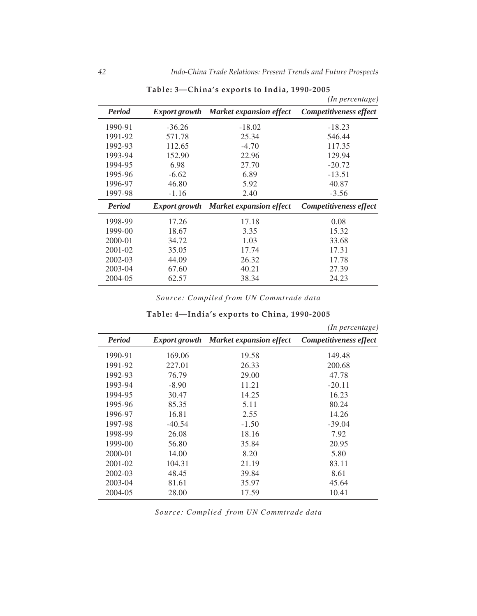|               |          |                                              | (In percentage)        |
|---------------|----------|----------------------------------------------|------------------------|
| <b>Period</b> |          | <b>Export growth</b> Market expansion effect | Competitiveness effect |
| 1990-91       | $-36.26$ | $-18.02$                                     | $-18.23$               |
| 1991-92       | 571.78   | 25.34                                        | 546.44                 |
| 1992-93       | 112.65   | $-4.70$                                      | 117.35                 |
| 1993-94       | 152.90   | 22.96                                        | 129.94                 |
| 1994-95       | 6.98     | 27.70                                        | $-20.72$               |
| 1995-96       | $-6.62$  | 6.89                                         | $-13.51$               |
| 1996-97       | 46.80    | 5.92                                         | 40.87                  |
| 1997-98       | $-1.16$  | 2.40                                         | $-3.56$                |
| <b>Period</b> |          | <b>Export growth</b> Market expansion effect | Competitiveness effect |
| 1998-99       | 17.26    | 17.18                                        | 0.08                   |
| 1999-00       | 18.67    | 3.35                                         | 15.32                  |
| 2000-01       | 34.72    | 1.03                                         | 33.68                  |
| 2001-02       | 35.05    | 17.74                                        | 17.31                  |
| 2002-03       | 44.09    | 26.32                                        | 17.78                  |
| 2003-04       | 67.60    | 40.21                                        | 27.39                  |
| 2004-05       | 62.57    | 38.34                                        | 24.23                  |

Table: 3-China's exports to India, 1990-2005

*Source: Compiled from UN Commtrade data*

|               |                      |                                | (In percentage)               |
|---------------|----------------------|--------------------------------|-------------------------------|
| <b>Period</b> | <i>Export growth</i> | <b>Market expansion effect</b> | <b>Competitiveness effect</b> |
| 1990-91       | 169.06               | 19.58                          | 149.48                        |
| 1991-92       | 227.01               | 26.33                          | 200.68                        |
| 1992-93       | 76.79                | 29.00                          | 47.78                         |
| 1993-94       | $-8.90$              | 11.21                          | $-20.11$                      |
| 1994-95       | 30.47                | 14.25                          | 16.23                         |
| 1995-96       | 85.35                | 5.11                           | 80.24                         |
| 1996-97       | 16.81                | 2.55                           | 14.26                         |
| 1997-98       | $-40.54$             | $-1.50$                        | $-39.04$                      |
| 1998-99       | 26.08                | 18.16                          | 7.92                          |
| 1999-00       | 56.80                | 35.84                          | 20.95                         |
| $2000 - 01$   | 14.00                | 8.20                           | 5.80                          |
| $2001 - 02$   | 104.31               | 21.19                          | 83.11                         |
| $2002 - 03$   | 48.45                | 39.84                          | 8.61                          |
| 2003-04       | 81.61                | 35.97                          | 45.64                         |
| 2004-05       | 28.00                | 17.59                          | 10.41                         |

# Table: 4-India's exports to China, 1990-2005

*Source: Complied from UN Commtrade data*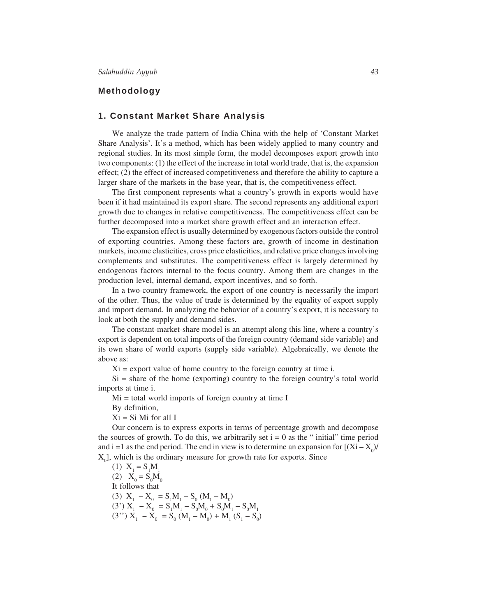## **Methodology**

#### **1. Constant Market Share Analysis**

We analyze the trade pattern of India China with the help of 'Constant Market Share Analysis'. It's a method, which has been widely applied to many country and regional studies. In its most simple form, the model decomposes export growth into two components: (1) the effect of the increase in total world trade, that is, the expansion effect; (2) the effect of increased competitiveness and therefore the ability to capture a larger share of the markets in the base year, that is, the competitiveness effect.

The first component represents what a country's growth in exports would have been if it had maintained its export share. The second represents any additional export growth due to changes in relative competitiveness. The competitiveness effect can be further decomposed into a market share growth effect and an interaction effect.

The expansion effect is usually determined by exogenous factors outside the control of exporting countries. Among these factors are, growth of income in destination markets, income elasticities, cross price elasticities, and relative price changes involving complements and substitutes. The competitiveness effect is largely determined by endogenous factors internal to the focus country. Among them are changes in the production level, internal demand, export incentives, and so forth.

In a two-country framework, the export of one country is necessarily the import of the other. Thus, the value of trade is determined by the equality of export supply and import demand. In analyzing the behavior of a country's export, it is necessary to look at both the supply and demand sides.

The constant-market-share model is an attempt along this line, where a country's export is dependent on total imports of the foreign country (demand side variable) and its own share of world exports (supply side variable). Algebraically, we denote the above as:

 $Xi =$  export value of home country to the foreign country at time i.

 $Si$  = share of the home (exporting) country to the foreign country's total world imports at time i.

 $Mi$  = total world imports of foreign country at time I

By definition,

 $Xi = Si$  Mi for all I

Our concern is to express exports in terms of percentage growth and decompose the sources of growth. To do this, we arbitrarily set  $i = 0$  as the " initial" time period and i =1 as the end period. The end in view is to determine an expansion for  $[(Xi – X_0)/$  $X_0$ , which is the ordinary measure for growth rate for exports. Since

(1) 
$$
X_1 = S_1M_1
$$
  
\n(2)  $X_0 = S_0M_0$   
\nIt follows that  
\n(3)  $X_1 - X_0 = S_1M_1 - S_0 (M_1 - M_0)$   
\n(3')  $X_1 - X_0 = S_1M_1 - S_0M_0 + S_0M_1 - S_0M_1$   
\n(3'')  $X_1 - X_0 = S_0 (M_1 - M_0) + M_1 (S_1 - S_0)$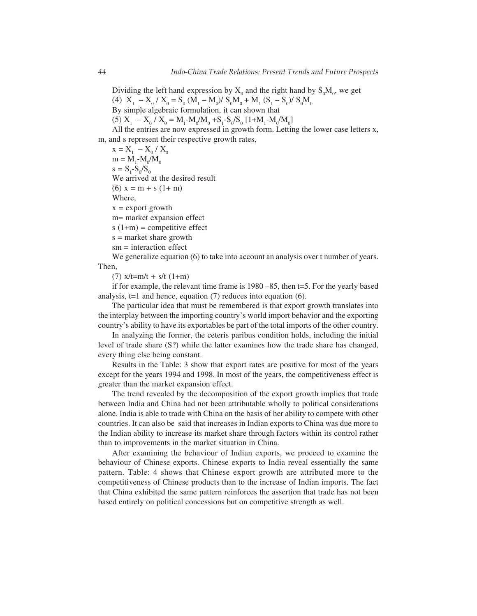Dividing the left hand expression by  $X_0$  and the right hand by  $S_0M_0$ , we get

(4)  $X_1 - X_0 / X_0 = S_0 (M_1 - M_0) / S_0 M_0 + M_1 (S_1 - S_0) / S_0 M_0$ 

By simple algebraic formulation, it can shown that

(5)  $X_1 - X_0 / X_0 = M_1 - M_0 / M_0 + S_1 - S_0 / S_0 [1 + M_1 - M_0 / M_0]$ 

All the entries are now expressed in growth form. Letting the lower case letters x, m, and s represent their respective growth rates,

 $X = X_1 - X_0 / X_0$  $m = M_1 - M_0/M_0$  $s = S_1 - S_0 / S_0$ We arrived at the desired result (6)  $x = m + s (1 + m)$ Where,  $x =$  export growth m= market expansion effect  $s(1+m) =$  competitive effect s = market share growth

sm = interaction effect

We generalize equation (6) to take into account an analysis over t number of years. Then,

 $(7)$  x/t=m/t + s/t  $(1+m)$ 

if for example, the relevant time frame is 1980 –85, then t=5. For the yearly based analysis,  $t=1$  and hence, equation (7) reduces into equation (6).

The particular idea that must be remembered is that export growth translates into the interplay between the importing country's world import behavior and the exporting country's ability to have its exportables be part of the total imports of the other country.

In analyzing the former, the ceteris paribus condition holds, including the initial level of trade share (S?) while the latter examines how the trade share has changed, every thing else being constant.

Results in the Table: 3 show that export rates are positive for most of the years except for the years 1994 and 1998. In most of the years, the competitiveness effect is greater than the market expansion effect.

The trend revealed by the decomposition of the export growth implies that trade between India and China had not been attributable wholly to political considerations alone. India is able to trade with China on the basis of her ability to compete with other countries. It can also be said that increases in Indian exports to China was due more to the Indian ability to increase its market share through factors within its control rather than to improvements in the market situation in China.

After examining the behaviour of Indian exports, we proceed to examine the behaviour of Chinese exports. Chinese exports to India reveal essentially the same pattern. Table: 4 shows that Chinese export growth are attributed more to the competitiveness of Chinese products than to the increase of Indian imports. The fact that China exhibited the same pattern reinforces the assertion that trade has not been based entirely on political concessions but on competitive strength as well.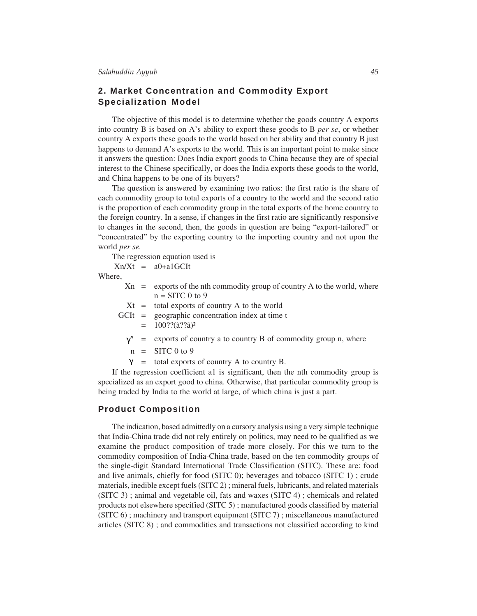# **2. Market Concentration and Commodity Export Specialization Model**

The objective of this model is to determine whether the goods country A exports into country B is based on A's ability to export these goods to B *per se*, or whether country A exports these goods to the world based on her ability and that country B just happens to demand A's exports to the world. This is an important point to make since it answers the question: Does India export goods to China because they are of special interest to the Chinese specifically, or does the India exports these goods to the world, and China happens to be one of its buyers?

The question is answered by examining two ratios: the first ratio is the share of each commodity group to total exports of a country to the world and the second ratio is the proportion of each commodity group in the total exports of the home country to the foreign country. In a sense, if changes in the first ratio are significantly responsive to changes in the second, then, the goods in question are being "export-tailored" or "concentrated" by the exporting country to the importing country and not upon the world *per se.*

The regression equation used is

 $Xn/Xt = a0+a1GClt$ 

Where,

|  | $X_n$ = exports of the nth commodity group of country A to the world, where |
|--|-----------------------------------------------------------------------------|
|  | $n =$ SITC 0 to 9                                                           |
|  | $Xt =$ total exports of country A to the world                              |
|  | $GCIt = geographic concentration index at time t$                           |
|  | $= 100$ ??( $\tilde{a}$ ?? $\tilde{a}$ ) <sup>2</sup>                       |
|  |                                                                             |

- $\gamma^n$  = exports of country a to country B of commodity group n, where
- $n =$  SITC 0 to 9
- $\gamma$  = total exports of country A to country B.

If the regression coefficient a1 is significant, then the nth commodity group is specialized as an export good to china. Otherwise, that particular commodity group is being traded by India to the world at large, of which china is just a part.

#### **Product Composition**

The indication, based admittedly on a cursory analysis using a very simple technique that India-China trade did not rely entirely on politics, may need to be qualified as we examine the product composition of trade more closely. For this we turn to the commodity composition of India-China trade, based on the ten commodity groups of the single-digit Standard International Trade Classification (SITC). These are: food and live animals, chiefly for food (SITC 0); beverages and tobacco (SITC 1) ; crude materials, inedible except fuels (SITC 2) ; mineral fuels, lubricants, and related materials (SITC 3) ; animal and vegetable oil, fats and waxes (SITC 4) ; chemicals and related products not elsewhere specified (SITC 5) ; manufactured goods classified by material (SITC 6) ; machinery and transport equipment (SITC 7) ; miscellaneous manufactured articles (SITC 8) ; and commodities and transactions not classified according to kind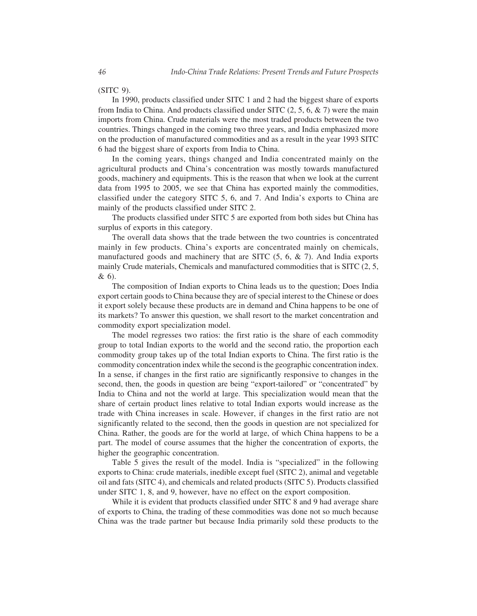(SITC 9).

In 1990, products classified under SITC 1 and 2 had the biggest share of exports from India to China. And products classified under SITC  $(2, 5, 6, \& 7)$  were the main imports from China. Crude materials were the most traded products between the two countries. Things changed in the coming two three years, and India emphasized more on the production of manufactured commodities and as a result in the year 1993 SITC 6 had the biggest share of exports from India to China.

In the coming years, things changed and India concentrated mainly on the agricultural products and China's concentration was mostly towards manufactured goods, machinery and equipments. This is the reason that when we look at the current data from 1995 to 2005, we see that China has exported mainly the commodities, classified under the category SITC 5, 6, and 7. And India's exports to China are mainly of the products classified under SITC 2.

The products classified under SITC 5 are exported from both sides but China has surplus of exports in this category.

The overall data shows that the trade between the two countries is concentrated mainly in few products. China's exports are concentrated mainly on chemicals, manufactured goods and machinery that are SITC (5, 6, & 7). And India exports mainly Crude materials, Chemicals and manufactured commodities that is SITC (2, 5, & 6).

The composition of Indian exports to China leads us to the question; Does India export certain goods to China because they are of special interest to the Chinese or does it export solely because these products are in demand and China happens to be one of its markets? To answer this question, we shall resort to the market concentration and commodity export specialization model.

The model regresses two ratios: the first ratio is the share of each commodity group to total Indian exports to the world and the second ratio, the proportion each commodity group takes up of the total Indian exports to China. The first ratio is the commodity concentration index while the second is the geographic concentration index. In a sense, if changes in the first ratio are significantly responsive to changes in the second, then, the goods in question are being "export-tailored" or "concentrated" by India to China and not the world at large. This specialization would mean that the share of certain product lines relative to total Indian exports would increase as the trade with China increases in scale. However, if changes in the first ratio are not significantly related to the second, then the goods in question are not specialized for China. Rather, the goods are for the world at large, of which China happens to be a part. The model of course assumes that the higher the concentration of exports, the higher the geographic concentration.

Table 5 gives the result of the model. India is "specialized" in the following exports to China: crude materials, inedible except fuel (SITC 2), animal and vegetable oil and fats (SITC 4), and chemicals and related products (SITC 5). Products classified under SITC 1, 8, and 9, however, have no effect on the export composition.

While it is evident that products classified under SITC 8 and 9 had average share of exports to China, the trading of these commodities was done not so much because China was the trade partner but because India primarily sold these products to the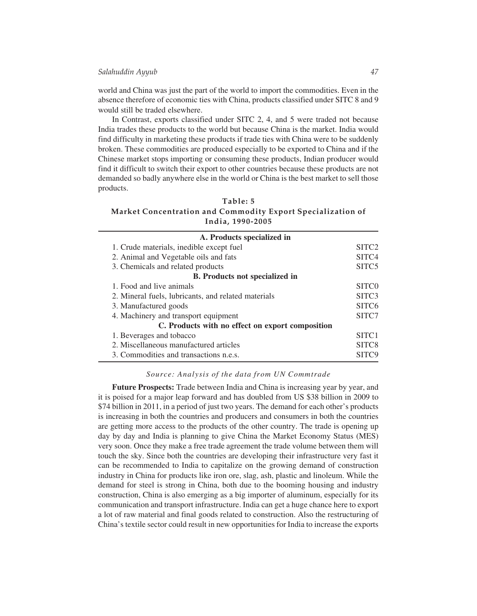world and China was just the part of the world to import the commodities. Even in the absence therefore of economic ties with China, products classified under SITC 8 and 9 would still be traded elsewhere.

In Contrast, exports classified under SITC 2, 4, and 5 were traded not because India trades these products to the world but because China is the market. India would find difficulty in marketing these products if trade ties with China were to be suddenly broken. These commodities are produced especially to be exported to China and if the Chinese market stops importing or consuming these products, Indian producer would find it difficult to switch their export to other countries because these products are not demanded so badly anywhere else in the world or China is the best market to sell those products.

#### Table: 5 Market Concentration and Commodity Export Specialization of India, 1990-2005

| A. Products specialized in                          |                   |
|-----------------------------------------------------|-------------------|
| 1. Crude materials, inedible except fuel            | SITC <sub>2</sub> |
| 2. Animal and Vegetable oils and fats               | SITC <sub>4</sub> |
| 3. Chemicals and related products                   | SITC <sub>5</sub> |
| <b>B.</b> Products not specialized in               |                   |
| 1. Food and live animals                            | SITC <sub>0</sub> |
| 2. Mineral fuels, lubricants, and related materials | SITC <sub>3</sub> |
| 3. Manufactured goods                               | SITC <sub>6</sub> |
| 4. Machinery and transport equipment                | SITC7             |
| C. Products with no effect on export composition    |                   |
| 1. Beverages and tobacco                            | SITC <sub>1</sub> |
| 2. Miscellaneous manufactured articles              | SITC <sub>8</sub> |
| 3. Commodities and transactions n.e.s.              |                   |
|                                                     |                   |

#### *Source: Analysis of the data from UN Commtrade*

**Future Prospects:** Trade between India and China is increasing year by year, and it is poised for a major leap forward and has doubled from US \$38 billion in 2009 to \$74 billion in 2011, in a period of just two years. The demand for each other's products is increasing in both the countries and producers and consumers in both the countries are getting more access to the products of the other country. The trade is opening up day by day and India is planning to give China the Market Economy Status (MES) very soon. Once they make a free trade agreement the trade volume between them will touch the sky. Since both the countries are developing their infrastructure very fast it can be recommended to India to capitalize on the growing demand of construction industry in China for products like iron ore, slag, ash, plastic and linoleum. While the demand for steel is strong in China, both due to the booming housing and industry construction, China is also emerging as a big importer of aluminum, especially for its communication and transport infrastructure. India can get a huge chance here to export a lot of raw material and final goods related to construction. Also the restructuring of China's textile sector could result in new opportunities for India to increase the exports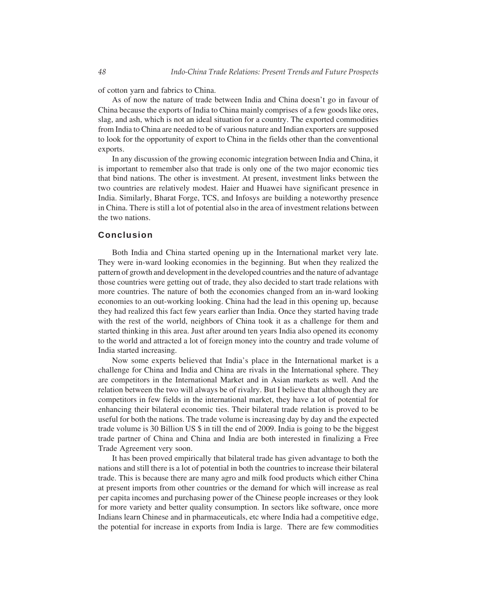of cotton yarn and fabrics to China.

As of now the nature of trade between India and China doesn't go in favour of China because the exports of India to China mainly comprises of a few goods like ores, slag, and ash, which is not an ideal situation for a country. The exported commodities from India to China are needed to be of various nature and Indian exporters are supposed to look for the opportunity of export to China in the fields other than the conventional exports.

In any discussion of the growing economic integration between India and China, it is important to remember also that trade is only one of the two major economic ties that bind nations. The other is investment. At present, investment links between the two countries are relatively modest. Haier and Huawei have significant presence in India. Similarly, Bharat Forge, TCS, and Infosys are building a noteworthy presence in China. There is still a lot of potential also in the area of investment relations between the two nations.

## **Conclusion**

Both India and China started opening up in the International market very late. They were in-ward looking economies in the beginning. But when they realized the pattern of growth and development in the developed countries and the nature of advantage those countries were getting out of trade, they also decided to start trade relations with more countries. The nature of both the economies changed from an in-ward looking economies to an out-working looking. China had the lead in this opening up, because they had realized this fact few years earlier than India. Once they started having trade with the rest of the world, neighbors of China took it as a challenge for them and started thinking in this area. Just after around ten years India also opened its economy to the world and attracted a lot of foreign money into the country and trade volume of India started increasing.

Now some experts believed that India's place in the International market is a challenge for China and India and China are rivals in the International sphere. They are competitors in the International Market and in Asian markets as well. And the relation between the two will always be of rivalry. But I believe that although they are competitors in few fields in the international market, they have a lot of potential for enhancing their bilateral economic ties. Their bilateral trade relation is proved to be useful for both the nations. The trade volume is increasing day by day and the expected trade volume is 30 Billion US \$ in till the end of 2009. India is going to be the biggest trade partner of China and China and India are both interested in finalizing a Free Trade Agreement very soon.

It has been proved empirically that bilateral trade has given advantage to both the nations and still there is a lot of potential in both the countries to increase their bilateral trade. This is because there are many agro and milk food products which either China at present imports from other countries or the demand for which will increase as real per capita incomes and purchasing power of the Chinese people increases or they look for more variety and better quality consumption. In sectors like software, once more Indians learn Chinese and in pharmaceuticals, etc where India had a competitive edge, the potential for increase in exports from India is large. There are few commodities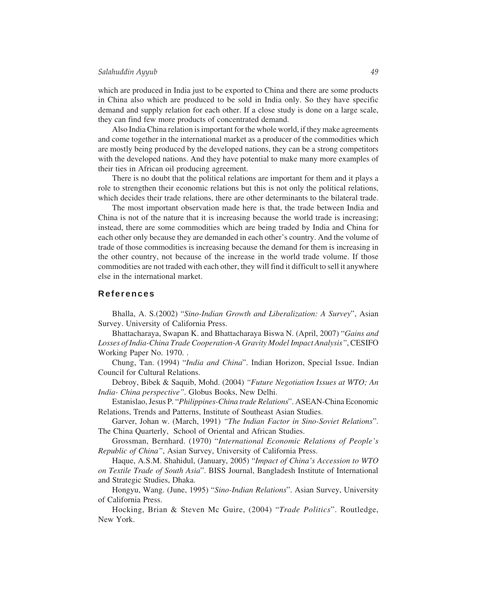which are produced in India just to be exported to China and there are some products in China also which are produced to be sold in India only. So they have specific demand and supply relation for each other. If a close study is done on a large scale, they can find few more products of concentrated demand.

Also India China relation is important for the whole world, if they make agreements and come together in the international market as a producer of the commodities which are mostly being produced by the developed nations, they can be a strong competitors with the developed nations. And they have potential to make many more examples of their ties in African oil producing agreement.

There is no doubt that the political relations are important for them and it plays a role to strengthen their economic relations but this is not only the political relations, which decides their trade relations, there are other determinants to the bilateral trade.

The most important observation made here is that, the trade between India and China is not of the nature that it is increasing because the world trade is increasing; instead, there are some commodities which are being traded by India and China for each other only because they are demanded in each other's country. And the volume of trade of those commodities is increasing because the demand for them is increasing in the other country, not because of the increase in the world trade volume. If those commodities are not traded with each other, they will find it difficult to sell it anywhere else in the international market.

#### **References**

Bhalla, A. S.(2002) "*Sino-Indian Growth and Liberalization: A Survey*", Asian Survey. University of California Press.

Bhattacharaya, Swapan K. and Bhattacharaya Biswa N. (April, 2007) "*Gains and Losses of India-China Trade Cooperation-A Gravity Model Impact Analysis"*, CESIFO Working Paper No. 1970. .

Chung, Tan. (1994) "*India and China*". Indian Horizon, Special Issue. Indian Council for Cultural Relations.

Debroy, Bibek & Saquib, Mohd. (2004) *"Future Negotiation Issues at WTO; An India- China perspective".* Globus Books, New Delhi.

Estanislao, Jesus P. "*Philippines-China trade Relations*". ASEAN-China Economic Relations, Trends and Patterns, Institute of Southeast Asian Studies.

Garver, Johan w. (March, 1991) *"The Indian Factor in Sino-Soviet Relations*". The China Quarterly, School of Oriental and African Studies.

Grossman, Bernhard. (1970) "*International Economic Relations of People's Republic of China"*, Asian Survey, University of California Press.

Haque, A.S.M. Shahidul, (January, 2005) "*Impact of China's Accession to WTO on Textile Trade of South Asia*". BISS Journal, Bangladesh Institute of International and Strategic Studies, Dhaka.

Hongyu, Wang. (June, 1995) "*Sino-Indian Relations*". Asian Survey, University of California Press.

Hocking, Brian & Steven Mc Guire, (2004) "*Trade Politics*". Routledge, New York.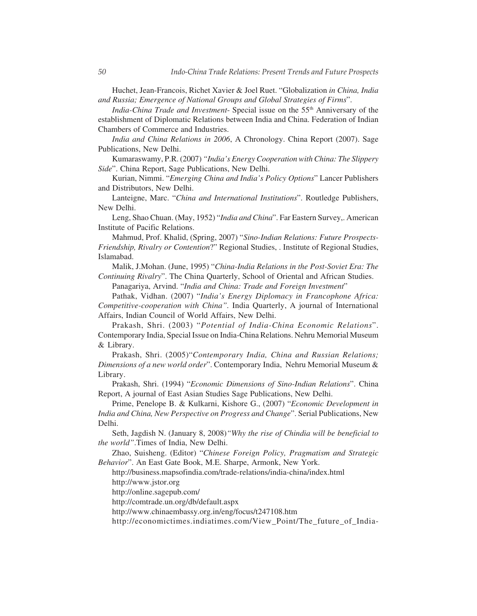Huchet, Jean-Francois, Richet Xavier & Joel Ruet. "Globalization *in China, India and Russia; Emergence of National Groups and Global Strategies of Firms*".

*India-China Trade and Investment-* Special issue on the 55<sup>th</sup> Anniversary of the establishment of Diplomatic Relations between India and China. Federation of Indian Chambers of Commerce and Industries.

*India and China Relations in 2006*, A Chronology. China Report (2007). Sage Publications, New Delhi.

Kumaraswamy, P.R. (2007) *"India's Energy Cooperation with China: The Slippery Side*". China Report, Sage Publications, New Delhi.

Kurian, Nimmi. "*Emerging China and India's Policy Options*" Lancer Publishers and Distributors, New Delhi.

Lanteigne, Marc. "*China and International Institutions*". Routledge Publishers, New Delhi.

Leng, Shao Chuan. (May, 1952) "*India and China*". Far Eastern Survey,. American Institute of Pacific Relations.

Mahmud, Prof. Khalid, (Spring, 2007) "*Sino-Indian Relations: Future Prospects-Friendship, Rivalry or Contention*?" Regional Studies, . Institute of Regional Studies, Islamabad.

Malik, J.Mohan. (June, 1995) "*China-India Relations in the Post-Soviet Era: The Continuing Rivalry*". The China Quarterly, School of Oriental and African Studies.

Panagariya, Arvind. "*India and China: Trade and Foreign Investment*"

Pathak, Vidhan. (2007) "*India's Energy Diplomacy in Francophone Africa: Competitive-cooperation with China".* India Quarterly, A journal of International Affairs, Indian Council of World Affairs, New Delhi.

Prakash, Shri. (2003) "*Potential of India-China Economic Relations*". Contemporary India, Special Issue on India-China Relations. Nehru Memorial Museum & Library.

Prakash, Shri. (2005)"*Contemporary India, China and Russian Relations; Dimensions of a new world order*". Contemporary India, Nehru Memorial Museum & Library.

Prakash, Shri. (1994) "*Economic Dimensions of Sino-Indian Relations*". China Report, A journal of East Asian Studies Sage Publications, New Delhi.

Prime, Penelope B. & Kulkarni, Kishore G., (2007) "*Economic Development in India and China, New Perspective on Progress and Change*". Serial Publications, New Delhi.

Seth, Jagdish N. (January 8, 2008)*"Why the rise of Chindia will be beneficial to the world"*.Times of India, New Delhi.

Zhao, Suisheng. (Editor) "*Chinese Foreign Policy, Pragmatism and Strategic Behavior*". An East Gate Book, M.E. Sharpe, Armonk, New York.

http://business.mapsofindia.com/trade-relations/india-china/index.html

http://www.jstor.org

http://online.sagepub.com/

http://comtrade.un.org/db/default.aspx

http://www.chinaembassy.org.in/eng/focus/t247108.htm

http://economictimes.indiatimes.com/View\_Point/The\_future\_of\_India-